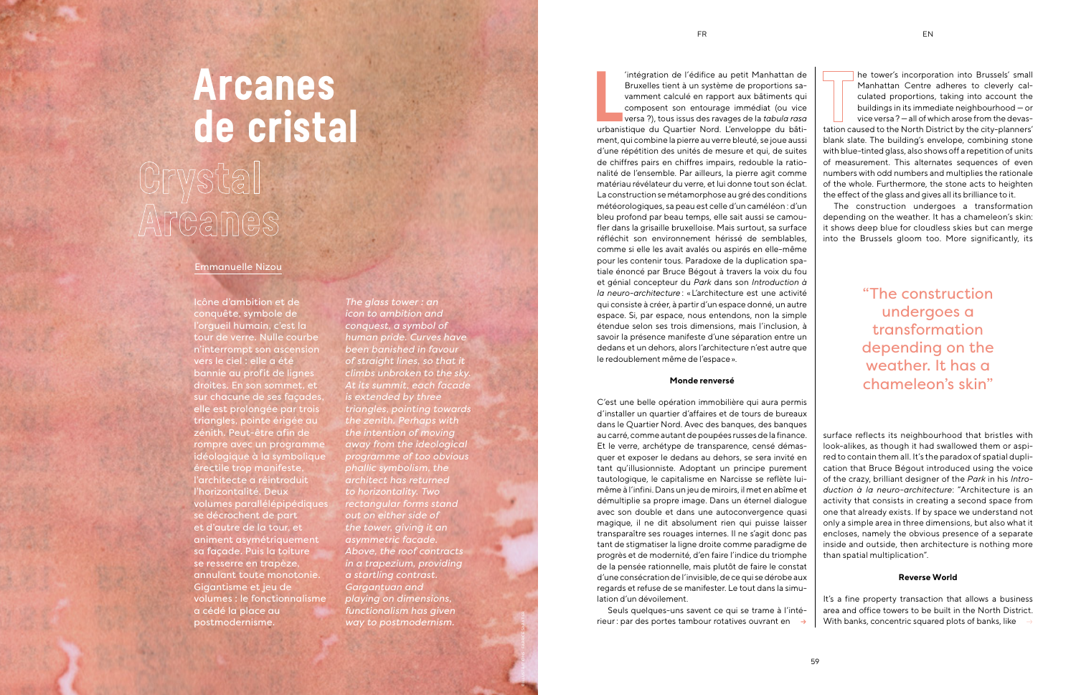Intégration de l'édifice au petit Manhattan de<br>
Bruxelles tient à un système de proportions sa-<br>
vamment calculé en rapport aux bâtiments qui<br>
composent son entourage immédiat (ou vice<br>
versa ?), tous issus des ravages de 'intégration de l'édifice au petit Manhattan de Bruxelles tient à un système de proportions savamment calculé en rapport aux bâtiments qui composent son entourage immédiat (ou vice versa ?), tous issus des ravages de la *tabula rasa* 

ment, qui combine la pierre au verre bleuté, se joue aussi d'une répétition des unités de mesure et qui, de suites de chiffres pairs en chiffres impairs, redouble la rationalité de l'ensemble. Par ailleurs, la pierre agit comme matériau révélateur du verre, et lui donne tout son éclat. La construction se métamorphose au gré des conditions météorologiques, sa peau est celle d'un caméléon : d'un bleu profond par beau temps, elle sait aussi se camoufler dans la grisaille bruxelloise. Mais surtout, sa surface réfléchit son environnement hérissé de semblables, comme si elle les avait avalés ou aspirés en elle-même pour les contenir tous. Paradoxe de la duplication spatiale énoncé par Bruce Bégout à travers la voix du fou et génial concepteur du *Park* dans son *Introduction à la neuro-architecture* : «L'architecture est une activité qui consiste à créer, à partir d'un espace donné, un autre espace. Si, par espace, nous entendons, non la simple étendue selon ses trois dimensions, mais l'inclusion, à savoir la présence manifeste d'une séparation entre un dedans et un dehors, alors l'architecture n'est autre que le redoublement même de l'espace».

# **Monde renversé**

C'est une belle opération immobilière qui aura permis d'installer un quartier d'affaires et de tours de bureaux dans le Quartier Nord. Avec des banques, des banques au carré, comme autant de poupées russes de la finance. Et le verre, archétype de transparence, censé démasquer et exposer le dedans au dehors, se sera invité en tant qu'illusionniste. Adoptant un principe purement tautologique, le capitalisme en Narcisse se reflète luimême à l'infini. Dans un jeu de miroirs, il met en abîme et démultiplie sa propre image. Dans un éternel dialogue avec son double et dans une autoconvergence quasi magique, il ne dit absolument rien qui puisse laisser transparaître ses rouages internes. Il ne s'agit donc pas tant de stigmatiser la ligne droite comme paradigme de progrès et de modernité, d'en faire l'indice du triomphe de la pensée rationnelle, mais plutôt de faire le constat d'une consécration de l'invisible, de ce qui se dérobe aux regards et refuse de se manifester. Le tout dans la simulation d'un dévoilement.

Seuls quelques-uns savent ce qui se trame à l'intérieur : par des portes tambour rotatives ouvrant en

# **Arcanes de cristal**

# Crystal Arcanes

 $\rightarrow$  With banks, concentric squared plots of banks, like  $\rightarrow$ It's a fine property transaction that allows a business area and office towers to be built in the North District.

Icône d'ambition et de conquête, symbole de l'orgueil humain, c'est la tour de verre. Nulle courbe n'interrompt son ascension vers le ciel : elle a été bannie au profit de lignes droites. En son sommet, et sur chacune de ses façades, elle est prolongée par trois triangles, pointe érigée au zénith. Peut-être afin de rompre avec un programme idéologique à la symbolique érectile trop manifeste, l'architecte a réintroduit l'horizontalité. Deux volumes parallélépipédiques se décrochent de part et d'autre de la tour, et animent asymétriquement sa façade. Puis la toiture se resserre en trapèze, annulant toute monotonie. Gigantisme et jeu de volumes : le fonctionnalisme a cédé la place au postmodernisme.

*The glass tower : an icon to ambition and conquest, a symbol of human pride. Curves have been banished in favour of straight lines, so that it climbs unbroken to the sky. At its summit, each facade is extended by three triangles, pointing towards the zenith. Perhaps with the intention of moving away from the ideological programme of too obvious phallic symbolism, the architect has returned to horizontality. Two rectangular forms stand out on either side of the tower, giving it an asymmetric facade. Above, the roof contracts in a trapezium, providing a startling contrast. Gargantuan and playing on dimensions, functionalism has given way to postmodernism.* 

### Emmanuelle Nizou

©ILLUSTRATIONS : FABRICE SABATIER

he tower's incorporation into Brussels' small Manhattan Centre adheres to cleverly calculated proportions, taking into account the buildings in its immediate neighbourhood — or vice versa? — all of which arose from the devastation caused to the North District by the city-planners' blank slate. The building's envelope, combining stone with blue-tinted glass, also shows off a repetition of units of measurement. This alternates sequences of even numbers with odd numbers and multiplies the rationale of the whole. Furthermore, the stone acts to heighten the effect of the glass and gives all its brilliance to it.

The construction undergoes a transformation depending on the weather. It has a chameleon's skin: it shows deep blue for cloudless skies but can merge into the Brussels gloom too. More significantly, its

surface reflects its neighbourhood that bristles with look-alikes, as though it had swallowed them or aspired to contain them all. It's the paradox of spatial duplication that Bruce Bégout introduced using the voice of the crazy, brilliant designer of the *Park* in his *Introduction à la neuro-architecture*: "Architecture is an activity that consists in creating a second space from one that already exists. If by space we understand not only a simple area in three dimensions, but also what it encloses, namely the obvious presence of a separate inside and outside, then architecture is nothing more than spatial multiplication".

## **Reverse World**

"The construction undergoes a transformation depending on the weather. It has a chameleon's skin"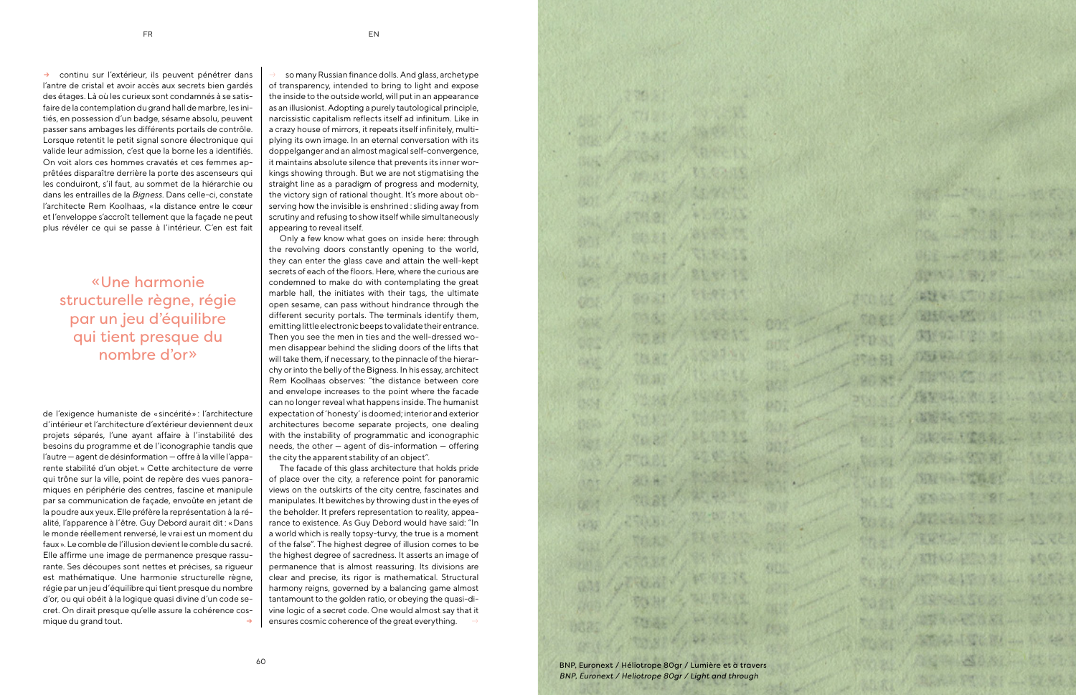

 $\rightarrow$  continu sur l'extérieur, ils peuvent pénétrer dans  $\rightarrow$ l'antre de cristal et avoir accès aux secrets bien gardés des étages. Là où les curieux sont condamnés à se satisfaire de la contemplation du grand hall de marbre, les initiés, en possession d'un badge, sésame absolu, peuvent passer sans ambages les différents portails de contrôle. Lorsque retentit le petit signal sonore électronique qui valide leur admission, c'est que la borne les a identifiés. On voit alors ces hommes cravatés et ces femmes apprêtées disparaître derrière la porte des ascenseurs qui les conduiront, s'il faut, au sommet de la hiérarchie ou dans les entrailles de la *Bigness*. Dans celle-ci, constate l'architecte Rem Koolhaas, «la distance entre le cœur et l'enveloppe s'accroît tellement que la façade ne peut plus révéler ce qui se passe à l'intérieur. C'en est fait



20123

7682

6468

de l'exigence humaniste de «sincérité» : l'architecture d'intérieur et l'architecture d'extérieur deviennent deux projets séparés, l'une ayant affaire à l'instabilité des besoins du programme et de l'iconographie tandis que l'autre — agent de désinformation — offre à la ville l'apparente stabilité d'un objet.» Cette architecture de verre qui trône sur la ville, point de repère des vues panoramiques en périphérie des centres, fascine et manipule par sa communication de façade, envoûte en jetant de la poudre aux yeux. Elle préfère la représentation à la réalité, l'apparence à l'être. Guy Debord aurait dit : «Dans le monde réellement renversé, le vrai est un moment du faux». Le comble de l'illusion devient le comble du sacré. Elle affirme une image de permanence presque rassurante. Ses découpes sont nettes et précises, sa rigueur est mathématique. Une harmonie structurelle règne, régie par un jeu d'équilibre qui tient presque du nombre d'or, ou qui obéit à la logique quasi divine d'un code secret. On dirait presque qu'elle assure la cohérence cosmique du grand tout.

« Une harmonie structurelle règne, régie par un jeu d'équilibre qui tient presque du nombre d'or »

> $\rightarrow$  | ensures cosmic coherence of the great everything.  $\rightarrow$ The facade of this glass architecture that holds pride of place over the city, a reference point for panoramic views on the outskirts of the city centre, fascinates and manipulates. It bewitches by throwing dust in the eyes of the beholder. It prefers representation to reality, appearance to existence. As Guy Debord would have said: "In a world which is really topsy-turvy, the true is a moment of the false". The highest degree of illusion comes to be the highest degree of sacredness. It asserts an image of permanence that is almost reassuring. Its divisions are clear and precise, its rigor is mathematical. Structural harmony reigns, governed by a balancing game almost tantamount to the golden ratio, or obeying the quasi-divine logic of a secret code. One would almost say that it

so many Russian finance dolls. And glass, archetype of transparency, intended to bring to light and expose the inside to the outside world, will put in an appearance as an illusionist. Adopting a purely tautological principle, narcissistic capitalism reflects itself ad infinitum. Like in a crazy house of mirrors, it repeats itself infinitely, multiplying its own image. In an eternal conversation with its doppelganger and an almost magical self-convergence, it maintains absolute silence that prevents its inner workings showing through. But we are not stigmatising the straight line as a paradigm of progress and modernity, the victory sign of rational thought. It's more about observing how the invisible is enshrined : sliding away from scrutiny and refusing to show itself while simultaneously appearing to reveal itself.

Only a few know what goes on inside here: through the revolving doors constantly opening to the world, they can enter the glass cave and attain the well-kept secrets of each of the floors. Here, where the curious are condemned to make do with contemplating the great marble hall, the initiates with their tags, the ultimate open sesame, can pass without hindrance through the different security portals. The terminals identify them, emitting little electronic beeps to validate their entrance. Then you see the men in ties and the well-dressed women disappear behind the sliding doors of the lifts that will take them, if necessary, to the pinnacle of the hierarchy or into the belly of the Bigness. In his essay, architect Rem Koolhaas observes: "the distance between core and envelope increases to the point where the facade can no longer reveal what happens inside. The humanist expectation of 'honesty' is doomed; interior and exterior architectures become separate projects, one dealing with the instability of programmatic and iconographic needs, the other — agent of dis-information — offering the city the apparent stability of an object".